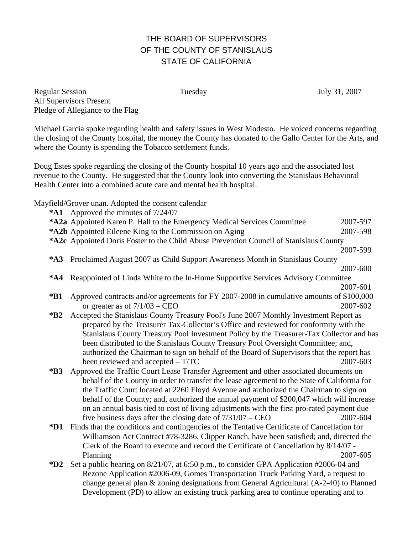## THE BOARD OF SUPERVISORS OF THE COUNTY OF STANISLAUS STATE OF CALIFORNIA

Regular Session Tuesday July 31, 2007 All Supervisors Present Pledge of Allegiance to the Flag

Michael Garcia spoke regarding health and safety issues in West Modesto. He voiced concerns regarding the closing of the County hospital, the money the County has donated to the Gallo Center for the Arts, and where the County is spending the Tobacco settlement funds.

Doug Estes spoke regarding the closing of the County hospital 10 years ago and the associated lost revenue to the County. He suggested that the County look into converting the Stanislaus Behavioral Health Center into a combined acute care and mental health hospital.

Mayfield/Grover unan. Adopted the consent calendar

- **\*A1** Approved the minutes of 7/24/07
- **\*A2 a** Appointed Karen P. Hall to the Emergency Medical Services Committee 2007-597
- **\*A2b** Appointed Eileene King to the Commission on Aging 2007-598
- \*A2c Appointed Doris Foster to the Child Abuse Prevention Council of Stanislaus County

2007-599 **\*A3** Proclaimed August 2007 as Child Support Awareness Month in Stanislaus County

- 2007-600 **\*A4** Reappointed of Linda White to the In-Home Supportive Services Advisory Committee 2007-601
- **\*B1** Approved contracts and/or agreements for FY 2007-2008 in cumulative amounts of \$100,000 or greater as of  $7/1/03 - \text{CEO}$  2007-602
- **\*B2** Accepted the Stanislaus County Treasury Pool's June 2007 Monthly Investment Report as prepared by the Treasurer Tax-Collector's Office and reviewed for conformity with the Stanislaus County Treasury Pool Investment Policy by the Treasurer-Tax Collector and has been distributed to the Stanislaus County Treasury Pool Oversight Committee; and, authorized the Chairman to sign on behalf of the Board of Supervisors that the report has been reviewed and accepted – T/TC 2007-603
- **\*B3** Approved the Traffic Court Lease Transfer Agreement and other associated documents on behalf of the County in order to transfer the lease agreement to the State of California for the Traffic Court located at 2260 Floyd Avenue and authorized the Chairman to sign on behalf of the County; and, authorized the annual payment of \$200,047 which will increase on an annual basis tied to cost of living adjustments with the first pro-rated payment due five business days after the closing date of 7/31/07 – CEO 2007-604
- **\*D1** Finds that the conditions and contingencies of the Tentative Certificate of Cancellation for Williamson Act Contract #78-3286, Clipper Ranch, have been satisfied; and, directed the Clerk of the Board to execute and record the Certificate of Cancellation by 8/14/07 - Planning 2007-605
- **\*D2** Set a public hearing on 8/21/07, at 6:50 p.m., to consider GPA Application #2006-04 and Rezone Application #2006-09, Gomes Transportation Truck Parking Yard, a request to change general plan & zoning designations from General Agricultural (A-2-40) to Planned Development (PD) to allow an existing truck parking area to continue operating and to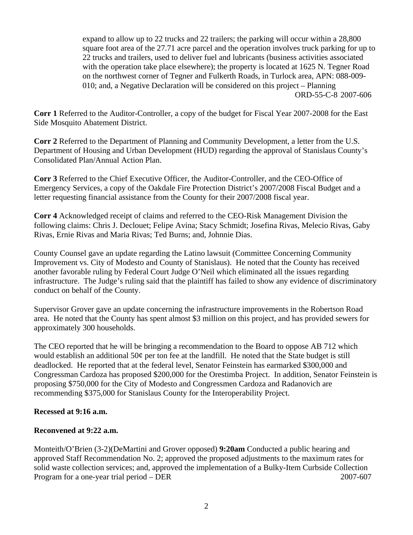expand to allow up to 22 trucks and 22 trailers; the parking will occur within a 28,800 square foot area of the 27.71 acre parcel and the operation involves truck parking for up to 22 trucks and trailers, used to deliver fuel and lubricants (business activities associated with the operation take place elsewhere); the property is located at 1625 N. Tegner Road on the northwest corner of Tegner and Fulkerth Roads, in Turlock area, APN: 088-009- 010; and, a Negative Declaration will be considered on this project – Planning ORD-55-C-8 2007-606

**Corr 1** Referred to the Auditor-Controller, a copy of the budget for Fiscal Year 2007-2008 for the East Side Mosquito Abatement District.

**Corr 2** Referred to the Department of Planning and Community Development, a letter from the U.S. Department of Housing and Urban Development (HUD) regarding the approval of Stanislaus County's Consolidated Plan/Annual Action Plan.

**Corr 3** Referred to the Chief Executive Officer, the Auditor-Controller, and the CEO-Office of Emergency Services, a copy of the Oakdale Fire Protection District's 2007/2008 Fiscal Budget and a letter requesting financial assistance from the County for their 2007/2008 fiscal year.

**Corr 4** Acknowledged receipt of claims and referred to the CEO-Risk Management Division the following claims: Chris J. Declouet; Felipe Avina; Stacy Schmidt; Josefina Rivas, Melecio Rivas, Gaby Rivas, Ernie Rivas and Maria Rivas; Ted Burns; and, Johnnie Dias.

County Counsel gave an update regarding the Latino lawsuit (Committee Concerning Community Improvement vs. City of Modesto and County of Stanislaus). He noted that the County has received another favorable ruling by Federal Court Judge O'Neil which eliminated all the issues regarding infrastructure. The Judge's ruling said that the plaintiff has failed to show any evidence of discriminatory conduct on behalf of the County.

Supervisor Grover gave an update concerning the infrastructure improvements in the Robertson Road area. He noted that the County has spent almost \$3 million on this project, and has provided sewers for approximately 300 households.

The CEO reported that he will be bringing a recommendation to the Board to oppose AB 712 which would establish an additional 50¢ per ton fee at the landfill. He noted that the State budget is still deadlocked. He reported that at the federal level, Senator Feinstein has earmarked \$300,000 and Congressman Cardoza has proposed \$200,000 for the Orestimba Project. In addition, Senator Feinstein is proposing \$750,000 for the City of Modesto and Congressmen Cardoza and Radanovich are recommending \$375,000 for Stanislaus County for the Interoperability Project.

## **Recessed at 9:16 a.m.**

## **Reconvened at 9:22 a.m.**

Monteith/O'Brien (3-2)(DeMartini and Grover opposed) **9:20am** Conducted a public hearing and approved Staff Recommendation No. 2; approved the proposed adjustments to the maximum rates for solid waste collection services; and, approved the implementation of a Bulky-Item Curbside Collection Program for a one-year trial period – DER 2007-607